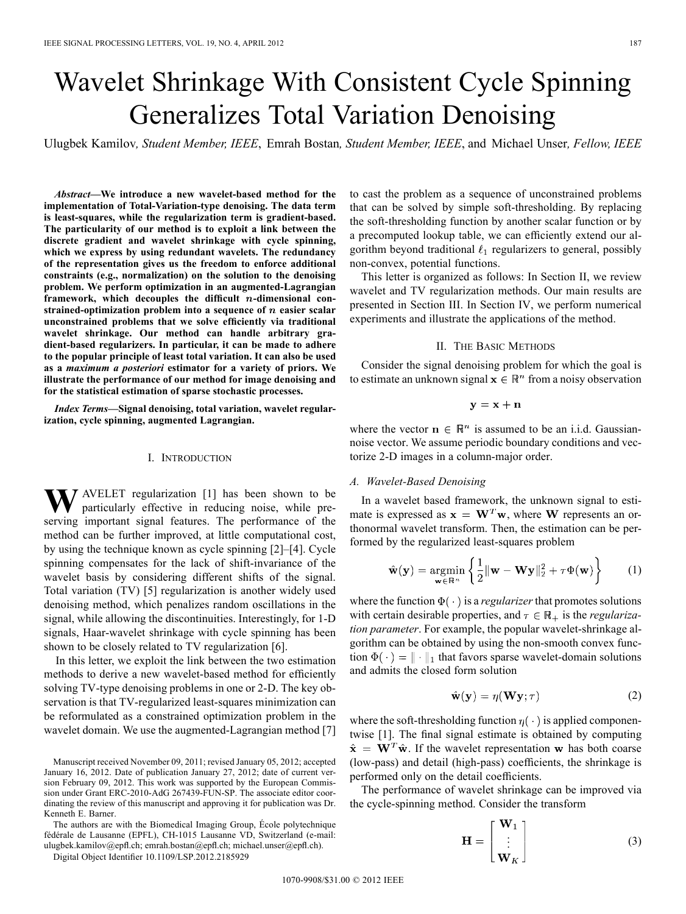# Wavelet Shrinkage With Consistent Cycle Spinning Generalizes Total Variation Denoising

Ulugbek Kamilov*, Student Member, IEEE*, Emrah Bostan*, Student Member, IEEE*, and Michael Unser*, Fellow, IEEE*

*Abstract—***We introduce a new wavelet-based method for the implementation of Total-Variation-type denoising. The data term is least-squares, while the regularization term is gradient-based. The particularity of our method is to exploit a link between the discrete gradient and wavelet shrinkage with cycle spinning, which we express by using redundant wavelets. The redundancy of the representation gives us the freedom to enforce additional constraints (e.g., normalization) on the solution to the denoising problem. We perform optimization in an augmented-Lagrangian** framework, which decouples the difficult *n*-dimensional con**strained-optimization problem into a sequence of n easier scalar unconstrained problems that we solve efficiently via traditional wavelet shrinkage. Our method can handle arbitrary gradient-based regularizers. In particular, it can be made to adhere to the popular principle of least total variation. It can also be used as a** *maximum a posteriori* **estimator for a variety of priors. We illustrate the performance of our method for image denoising and for the statistical estimation of sparse stochastic processes.**

*Index Terms—***Signal denoising, total variation, wavelet regularization, cycle spinning, augmented Lagrangian.**

# I. INTRODUCTION

**W**<sub>A</sub>VELET regularization [1] has been shown to be particularly effective in reducing noise, while preserving important signal features. The performance of the method can be further improved, at little computational cost, by using the technique known as cycle spinning [2]–[4]. Cycle spinning compensates for the lack of shift-invariance of the wavelet basis by considering different shifts of the signal. Total variation (TV) [5] regularization is another widely used denoising method, which penalizes random oscillations in the signal, while allowing the discontinuities. Interestingly, for 1-D signals, Haar-wavelet shrinkage with cycle spinning has been shown to be closely related to TV regularization [6].

In this letter, we exploit the link between the two estimation methods to derive a new wavelet-based method for efficiently solving TV-type denoising problems in one or 2-D. The key observation is that TV-regularized least-squares minimization can be reformulated as a constrained optimization problem in the wavelet domain. We use the augmented-Lagrangian method [7]

The authors are with the Biomedical Imaging Group, École polytechnique fédérale de Lausanne (EPFL), CH-1015 Lausanne VD, Switzerland (e-mail: ulugbek.kamilov@epfl.ch; emrah.bostan@epfl.ch; michael.unser@epfl.ch).

Digital Object Identifier 10.1109/LSP.2012.2185929

to cast the problem as a sequence of unconstrained problems that can be solved by simple soft-thresholding. By replacing the soft-thresholding function by another scalar function or by a precomputed lookup table, we can efficiently extend our algorithm beyond traditional  $\ell_1$  regularizers to general, possibly non-convex, potential functions.

This letter is organized as follows: In Section II, we review wavelet and TV regularization methods. Our main results are presented in Section III. In Section IV, we perform numerical experiments and illustrate the applications of the method.

## II. THE BASIC METHODS

Consider the signal denoising problem for which the goal is to estimate an unknown signal  $x \in \mathbb{R}^n$  from a noisy observation

$$
\mathbf{y} = \mathbf{x} + \mathbf{n}
$$

where the vector  $\mathbf{n} \in \mathbb{R}^n$  is assumed to be an i.i.d. Gaussiannoise vector. We assume periodic boundary conditions and vectorize 2-D images in a column-major order.

## *A. Wavelet-Based Denoising*

In a wavelet based framework, the unknown signal to estimate is expressed as  $x = W<sup>T</sup>w$ , where W represents an orthonormal wavelet transform. Then, the estimation can be performed by the regularized least-squares problem

$$
\hat{\mathbf{w}}(\mathbf{y}) = \underset{\mathbf{w} \in \mathbb{R}^n}{\text{argmin}} \left\{ \frac{1}{2} ||\mathbf{w} - \mathbf{W} \mathbf{y}||_2^2 + \tau \Phi(\mathbf{w}) \right\} \tag{1}
$$

where the function  $\Phi(\cdot)$  is a *regularizer* that promotes solutions with certain desirable properties, and  $\tau \in \mathbb{R}_+$  is the *regularization parameter*. For example, the popular wavelet-shrinkage algorithm can be obtained by using the non-smooth convex function  $\Phi(\cdot) = \|\cdot\|_1$  that favors sparse wavelet-domain solutions and admits the closed form solution

$$
\hat{\mathbf{w}}(\mathbf{y}) = \eta(\mathbf{W}\mathbf{y}; \tau) \tag{2}
$$

where the soft-thresholding function  $\eta(\cdot)$  is applied componentwise [1]. The final signal estimate is obtained by computing  $\hat{\mathbf{x}} = \mathbf{W}^T \hat{\mathbf{w}}$ . If the wavelet representation w has both coarse (low-pass) and detail (high-pass) coefficients, the shrinkage is performed only on the detail coefficients.

The performance of wavelet shrinkage can be improved via the cycle-spinning method. Consider the transform

 $\overline{1}$ 

$$
\mathbf{H} = \begin{bmatrix} \mathbf{W}_1 \\ \vdots \\ \mathbf{W}_K \end{bmatrix}
$$
 (3)

Manuscript received November 09, 2011; revised January 05, 2012; accepted January 16, 2012. Date of publication January 27, 2012; date of current version February 09, 2012. This work was supported by the European Commission under Grant ERC-2010-AdG 267439-FUN-SP. The associate editor coordinating the review of this manuscript and approving it for publication was Dr. Kenneth E. Barner.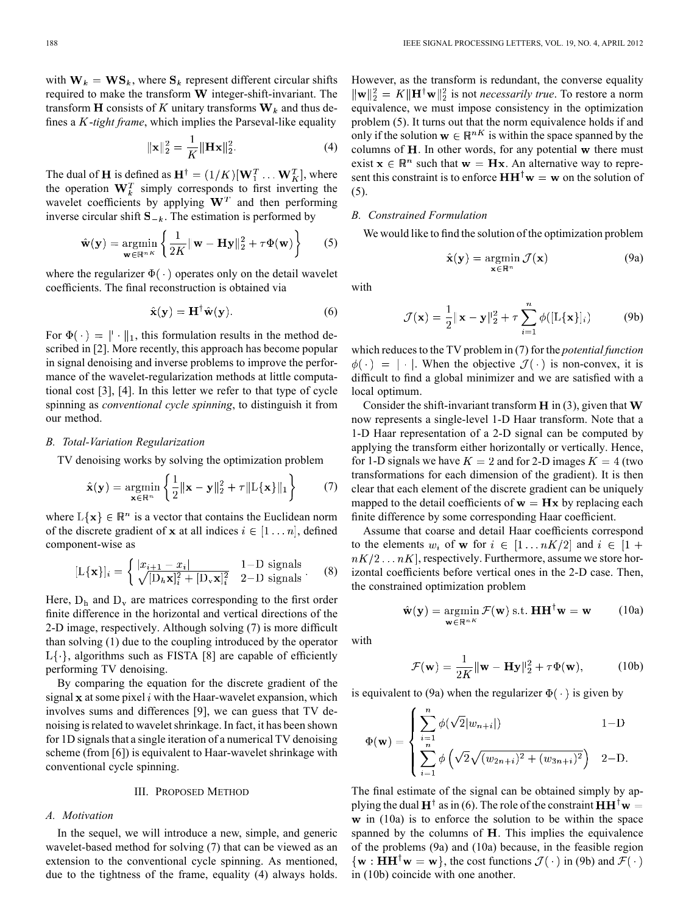with  $W_k = WS_k$ , where  $S_k$  represent different circular shifts required to make the transform  $W$  integer-shift-invariant. The transform H consists of K unitary transforms  $W_k$  and thus defines a K-*tight frame*, which implies the Parseval-like equality

$$
\|\mathbf{x}\|_{2}^{2} = \frac{1}{K} \|\mathbf{H}\mathbf{x}\|_{2}^{2}.
$$
 (4)

The dual of **H** is defined as  $\mathbf{H}^{\dagger} = (1/K)[\mathbf{W}_1^T \dots \mathbf{W}_K^T]$ , where the operation  $\mathbf{W}_k^T$  simply corresponds to first inverting the wavelet coefficients by applying  $W<sup>T</sup>$  and then performing inverse circular shift  $S_{-k}$ . The estimation is performed by

$$
\hat{\mathbf{w}}(\mathbf{y}) = \underset{\mathbf{w} \in \mathbb{R}^{nK}}{\text{argmin}} \left\{ \frac{1}{2K} ||\mathbf{w} - \mathbf{H}\mathbf{y}||_2^2 + \tau \Phi(\mathbf{w}) \right\} \tag{5}
$$

where the regularizer  $\Phi(\cdot)$  operates only on the detail wavelet coefficients. The final reconstruction is obtained via

$$
\hat{\mathbf{x}}(\mathbf{y}) = \mathbf{H}^\dagger \hat{\mathbf{w}}(\mathbf{y}).\tag{6}
$$

For  $\Phi(\cdot) = || \cdot ||_1$ , this formulation results in the method described in [2]. More recently, this approach has become popular in signal denoising and inverse problems to improve the performance of the wavelet-regularization methods at little computational cost [3], [4]. In this letter we refer to that type of cycle spinning as *conventional cycle spinning*, to distinguish it from our method.

#### *B. Total-Variation Regularization*

TV denoising works by solving the optimization problem

$$
\hat{\mathbf{x}}(\mathbf{y}) = \underset{\mathbf{x} \in \mathbb{R}^n}{\text{argmin}} \left\{ \frac{1}{2} ||\mathbf{x} - \mathbf{y}||_2^2 + \tau ||\mathbf{L}\{\mathbf{x}\}||_1 \right\} \tag{7}
$$

where  $L\{x\} \in \mathbb{R}^n$  is a vector that contains the Euclidean norm of the discrete gradient of x at all indices  $i \in [1 \dots n]$ , defined component-wise as

$$
[\mathbf{L}\{\mathbf{x}\}]_i = \begin{cases} |x_{i+1} - x_i| & \text{1-D signals} \\ \sqrt{[\mathbf{D}_h \mathbf{x}]_i^2 + [\mathbf{D}_v \mathbf{x}]_i^2} & \text{2-D signals} \end{cases} \tag{8}
$$

Here,  $D_h$  and  $D_v$  are matrices corresponding to the first order finite difference in the horizontal and vertical directions of the 2-D image, respectively. Although solving (7) is more difficult than solving (1) due to the coupling introduced by the operator  $L\{\cdot\}$ , algorithms such as FISTA [8] are capable of efficiently performing TV denoising.

By comparing the equation for the discrete gradient of the signal  $x$  at some pixel  $i$  with the Haar-wavelet expansion, which involves sums and differences [9], we can guess that TV denoising is related to wavelet shrinkage. In fact, it has been shown for 1D signals that a single iteration of a numerical TV denoising scheme (from [6]) is equivalent to Haar-wavelet shrinkage with conventional cycle spinning.

#### III. PROPOSED METHOD

#### *A. Motivation*

In the sequel, we will introduce a new, simple, and generic wavelet-based method for solving (7) that can be viewed as an extension to the conventional cycle spinning. As mentioned, due to the tightness of the frame, equality (4) always holds.

However, as the transform is redundant, the converse equality  $\|\mathbf{w}\|_2^2 = K \|\mathbf{H}^\dagger \mathbf{w}\|_2^2$  is not *necessarily true*. To restore a norm equivalence, we must impose consistency in the optimization problem (5). It turns out that the norm equivalence holds if and only if the solution  $\mathbf{w} \in \mathbb{R}^{nK}$  is within the space spanned by the columns of  $H$ . In other words, for any potential  $w$  there must exist  $x \in \mathbb{R}^n$  such that  $w = Hx$ . An alternative way to represent this constraint is to enforce  $HH^{\dagger}w = w$  on the solution of (5).

#### *B. Constrained Formulation*

We would like to find the solution of the optimization problem

$$
\hat{\mathbf{x}}(\mathbf{y}) = \underset{\mathbf{x} \in \mathbb{R}^n}{\text{argmin}} \mathcal{J}(\mathbf{x})
$$
 (9a)

with

$$
\mathcal{J}(\mathbf{x}) = \frac{1}{2} ||\mathbf{x} - \mathbf{y}||_2^2 + \tau \sum_{i=1}^n \phi([L\{\mathbf{x}\}]_i)
$$
 (9b)

which reduces to the TV problem in (7) for the *potential function*  $\phi(\cdot) = |\cdot|$ . When the objective  $\mathcal{J}(\cdot)$  is non-convex, it is difficult to find a global minimizer and we are satisfied with a local optimum.

Consider the shift-invariant transform  $H$  in (3), given that  $W$ now represents a single-level 1-D Haar transform. Note that a 1-D Haar representation of a 2-D signal can be computed by applying the transform either horizontally or vertically. Hence, for 1-D signals we have  $K = 2$  and for 2-D images  $K = 4$  (two transformations for each dimension of the gradient). It is then clear that each element of the discrete gradient can be uniquely mapped to the detail coefficients of  $w = Hx$  by replacing each finite difference by some corresponding Haar coefficient.

Assume that coarse and detail Haar coefficients correspond to the elements  $w_i$  of w for  $i \in [1 \dots nK/2]$  and  $i \in [1 +$  $nK/2 \ldots nK$ , respectively. Furthermore, assume we store horizontal coefficients before vertical ones in the 2-D case. Then, the constrained optimization problem

$$
\hat{\mathbf{w}}(\mathbf{y}) = \underset{\mathbf{w} \in \mathbb{R}^{nK}}{\operatorname{argmin}} \mathcal{F}(\mathbf{w}) \text{ s.t. } \mathbf{HH}^{\dagger} \mathbf{w} = \mathbf{w} \qquad (10a)
$$

with

$$
\mathcal{F}(\mathbf{w}) = \frac{1}{2K} ||\mathbf{w} - \mathbf{H}\mathbf{y}||_2^2 + \tau \Phi(\mathbf{w}), \quad (10b)
$$

is equivalent to (9a) when the regularizer  $\Phi(\cdot)$  is given by

$$
\Phi(\mathbf{w}) = \begin{cases} \sum_{i=1}^{n} \phi(\sqrt{2}|w_{n+i}|) & 1-D \\ \sum_{i=1}^{n} \phi(\sqrt{2}\sqrt{(w_{2n+i})^2 + (w_{3n+i})^2}) & 2-D. \end{cases}
$$

The final estimate of the signal can be obtained simply by applying the dual  $H^{\dagger}$  as in (6). The role of the constraint  $HH^{\dagger}w =$  $\bf{w}$  in (10a) is to enforce the solution to be within the space spanned by the columns of  $H$ . This implies the equivalence of the problems (9a) and (10a) because, in the feasible region  $\{w : HH^{\dagger}w = w\}$ , the cost functions  $\mathcal{J}(\cdot)$  in (9b) and  $\mathcal{F}(\cdot)$ in (10b) coincide with one another.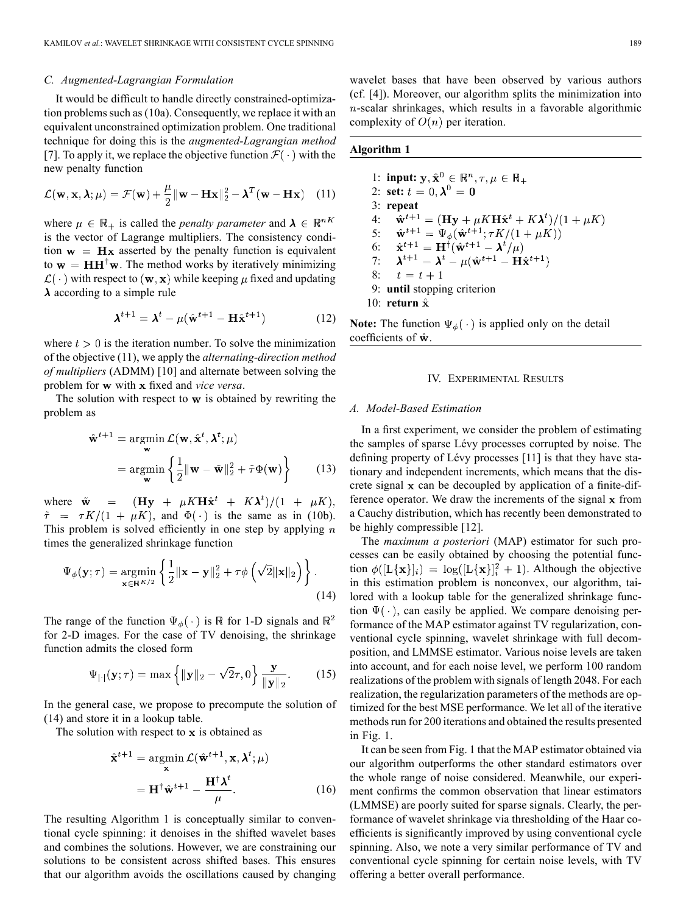## *C. Augmented-Lagrangian Formulation*

It would be difficult to handle directly constrained-optimization problems such as (10a). Consequently, we replace it with an equivalent unconstrained optimization problem. One traditional technique for doing this is the *augmented-Lagrangian method* [7]. To apply it, we replace the objective function  $\mathcal{F}(\cdot)$  with the new penalty function

$$
\mathcal{L}(\mathbf{w}, \mathbf{x}, \lambda; \mu) = \mathcal{F}(\mathbf{w}) + \frac{\mu}{2} ||\mathbf{w} - \mathbf{Hx}||_2^2 - \lambda^T (\mathbf{w} - \mathbf{Hx}) \quad (11)
$$

where  $\mu \in \mathbb{R}_+$  is called the *penalty parameter* and  $\lambda \in \mathbb{R}^{nK}$ is the vector of Lagrange multipliers. The consistency condition  $w = Hx$  asserted by the penalty function is equivalent to  $w = HH^{\dagger}w$ . The method works by iteratively minimizing  $\mathcal{L}(\cdot)$  with respect to  $(\mathbf{w}, \mathbf{x})$  while keeping  $\mu$  fixed and updating  $\lambda$  according to a simple rule

$$
\boldsymbol{\lambda}^{t+1} = \boldsymbol{\lambda}^t - \mu(\hat{\mathbf{w}}^{t+1} - \mathbf{H}\hat{\mathbf{x}}^{t+1})
$$
 (12)

where  $t > 0$  is the iteration number. To solve the minimization of the objective (11), we apply the *alternating-direction method of multipliers* (ADMM) [10] and alternate between solving the problem for **w** with **x** fixed and *vice versa*.

The solution with respect to  $w$  is obtained by rewriting the problem as

$$
\hat{\mathbf{w}}^{t+1} = \underset{\mathbf{w}}{\operatorname{argmin}} \mathcal{L}(\mathbf{w}, \hat{\mathbf{x}}^t, \boldsymbol{\lambda}^t; \boldsymbol{\mu})
$$

$$
= \underset{\mathbf{w}}{\operatorname{argmin}} \left\{ \frac{1}{2} ||\mathbf{w} - \tilde{\mathbf{w}}||_2^2 + \tilde{\tau} \Phi(\mathbf{w}) \right\} \tag{13}
$$

where  $\tilde{\mathbf{w}} = (\mathbf{H}\mathbf{y} + \mu K \mathbf{H}\hat{\mathbf{x}}^t + K\lambda^t)/(1 + \mu K),$  $\tilde{\tau}$  =  $\tau K/(1 + \mu K)$ , and  $\Phi(\cdot)$  is the same as in (10b). This problem is solved efficiently in one step by applying  $n$ times the generalized shrinkage function

$$
\Psi_{\phi}(\mathbf{y};\tau) = \underset{\mathbf{x} \in \mathbb{R}^{K/2}}{\operatorname{argmin}} \left\{ \frac{1}{2} ||\mathbf{x} - \mathbf{y}||_2^2 + \tau \phi \left( \sqrt{2} ||\mathbf{x}||_2 \right) \right\}.
$$
\n(14)

The range of the function  $\Psi_{\phi}(\cdot)$  is  $\mathbb R$  for 1-D signals and  $\mathbb R^2$ for 2-D images. For the case of TV denoising, the shrinkage function admits the closed form

$$
\Psi_{|\cdot|}(\mathbf{y};\tau) = \max\left\{||\mathbf{y}||_2 - \sqrt{2}\tau, 0\right\} \frac{\mathbf{y}}{||\mathbf{y}||_2}.
$$
 (15)

In the general case, we propose to precompute the solution of (14) and store it in a lookup table.

The solution with respect to  $x$  is obtained as

$$
\hat{\mathbf{x}}^{t+1} = \operatorname*{argmin}_{\mathbf{x}} \mathcal{L}(\hat{\mathbf{w}}^{t+1}, \mathbf{x}, \lambda^t; \mu)
$$

$$
= \mathbf{H}^\dagger \hat{\mathbf{w}}^{t+1} - \frac{\mathbf{H}^\dagger \lambda^t}{\mu}.
$$
(16)

The resulting Algorithm 1 is conceptually similar to conventional cycle spinning: it denoises in the shifted wavelet bases and combines the solutions. However, we are constraining our solutions to be consistent across shifted bases. This ensures that our algorithm avoids the oscillations caused by changing wavelet bases that have been observed by various authors (cf. [4]). Moreover, our algorithm splits the minimization into  $n$ -scalar shrinkages, which results in a favorable algorithmic complexity of  $O(n)$  per iteration.

# **Algorithm 1**

1: **input:** 2: **set:** 3: **repeat** 4:  $\mathbf{\hat{w}}^{t+1} = (\mathbf{H}\mathbf{y} + \mu K \mathbf{H}\hat{\mathbf{x}}^t + K\mathbf{\lambda}^t)/(1 + \mu K)$ 5: 6: 7: 8:  $t = t + 1$ 9: **until** stopping criterion 10: **return**

**Note:** The function  $\Psi_{\phi}(\cdot)$  is applied only on the detail coefficients of  $\hat{\mathbf{w}}$ .

#### IV. EXPERIMENTAL RESULTS

## *A. Model-Based Estimation*

In a first experiment, we consider the problem of estimating the samples of sparse Lévy processes corrupted by noise. The defining property of Lévy processes [11] is that they have stationary and independent increments, which means that the discrete signal  $x$  can be decoupled by application of a finite-difference operator. We draw the increments of the signal  $x$  from a Cauchy distribution, which has recently been demonstrated to be highly compressible [12].

The *maximum a posteriori* (MAP) estimator for such processes can be easily obtained by choosing the potential function  $\phi([L\{\mathbf{x}\}]i) = \log([L\{\mathbf{x}\}]i^2 + 1)$ . Although the objective in this estimation problem is nonconvex, our algorithm, tailored with a lookup table for the generalized shrinkage function  $\Psi(\cdot)$ , can easily be applied. We compare denoising performance of the MAP estimator against TV regularization, conventional cycle spinning, wavelet shrinkage with full decomposition, and LMMSE estimator. Various noise levels are taken into account, and for each noise level, we perform 100 random realizations of the problem with signals of length 2048. For each realization, the regularization parameters of the methods are optimized for the best MSE performance. We let all of the iterative methods run for 200 iterations and obtained the results presented in Fig. 1.

It can be seen from Fig. 1 that the MAP estimator obtained via our algorithm outperforms the other standard estimators over the whole range of noise considered. Meanwhile, our experiment confirms the common observation that linear estimators (LMMSE) are poorly suited for sparse signals. Clearly, the performance of wavelet shrinkage via thresholding of the Haar coefficients is significantly improved by using conventional cycle spinning. Also, we note a very similar performance of TV and conventional cycle spinning for certain noise levels, with TV offering a better overall performance.